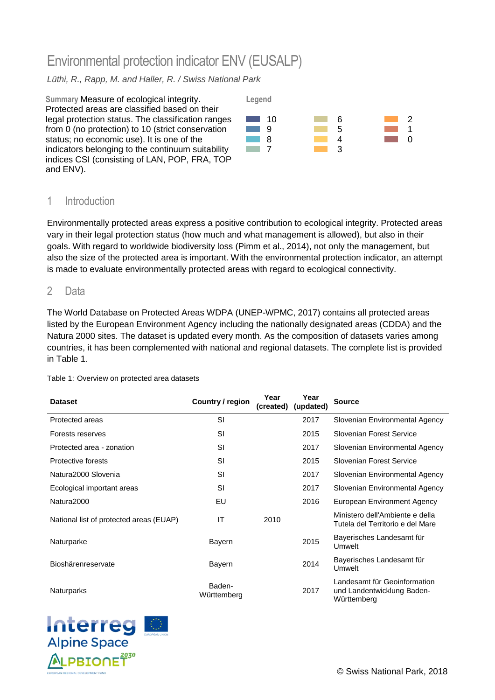# Environmental protection indicator ENV (EUSALP)

### *Lüthi, R., Rapp, M. and Haller, R. / Swiss National Park*



## 1 Introduction

Environmentally protected areas express a positive contribution to ecological integrity. Protected areas vary in their legal protection status (how much and what management is allowed), but also in their goals. With regard to worldwide biodiversity loss (Pimm et al., 2014), not only the management, but also the size of the protected area is important. With the environmental protection indicator, an attempt is made to evaluate environmentally protected areas with regard to ecological connectivity.

#### 2 Data

The World Database on Protected Areas WDPA (UNEP-WPMC, 2017) contains all protected areas listed by the European Environment Agency including the nationally designated areas (CDDA) and the Natura 2000 sites. The dataset is updated every month. As the composition of datasets varies among countries, it has been complemented with national and regional datasets. The complete list is provided in [Table 1.](#page-0-0)

| <b>Dataset</b>                          | Country / region      | Year<br>(created) | Year<br>(updated) | <b>Source</b>                                                             |
|-----------------------------------------|-----------------------|-------------------|-------------------|---------------------------------------------------------------------------|
| Protected areas                         | SI                    |                   | 2017              | Slovenian Environmental Agency                                            |
| Forests reserves                        | SI                    |                   | 2015              | Slovenian Forest Service                                                  |
| Protected area - zonation               | SI                    |                   | 2017              | Slovenian Environmental Agency                                            |
| Protective forests                      | SI                    |                   | 2015              | Slovenian Forest Service                                                  |
| Natura2000 Slovenia                     | SI                    |                   | 2017              | Slovenian Environmental Agency                                            |
| Ecological important areas              | SI                    |                   | 2017              | Slovenian Environmental Agency                                            |
| Natura2000                              | EU                    |                   | 2016              | European Environment Agency                                               |
| National list of protected areas (EUAP) | IT                    | 2010              |                   | Ministero dell'Ambiente e della<br>Tutela del Territorio e del Mare       |
| Naturparke                              | Bayern                |                   | 2015              | Bayerisches Landesamt für<br>Umwelt                                       |
| Bioshärenreservate                      | Bayern                |                   | 2014              | Bayerisches Landesamt für<br>Umwelt                                       |
| <b>Naturparks</b>                       | Baden-<br>Württemberg |                   | 2017              | Landesamt für Geoinformation<br>und Landentwicklung Baden-<br>Württemberg |

#### <span id="page-0-0"></span>Table 1: Overview on protected area datasets

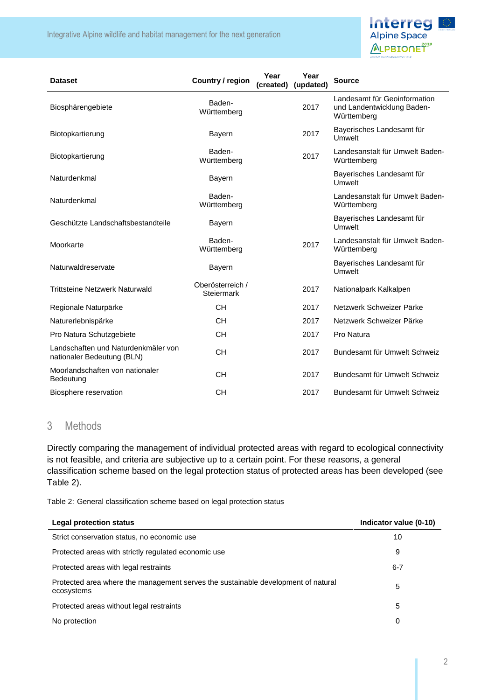Integrative Alpine wildlife and habitat management for the next generation



| <b>Dataset</b>                                                    | Country / region               | Year<br>(created) | Year<br>(updated) | <b>Source</b>                                                             |
|-------------------------------------------------------------------|--------------------------------|-------------------|-------------------|---------------------------------------------------------------------------|
| Biosphärengebiete                                                 | Baden-<br>Württemberg          |                   | 2017              | Landesamt für Geoinformation<br>und Landentwicklung Baden-<br>Württemberg |
| Biotopkartierung                                                  | <b>Bayern</b>                  |                   | 2017              | Bayerisches Landesamt für<br>Umwelt                                       |
| Biotopkartierung                                                  | Baden-<br>Württemberg          |                   | 2017              | Landesanstalt für Umwelt Baden-<br>Württemberg                            |
| Naturdenkmal                                                      | <b>Bayern</b>                  |                   |                   | Bayerisches Landesamt für<br>Umwelt                                       |
| Naturdenkmal                                                      | Baden-<br>Württemberg          |                   |                   | Landesanstalt für Umwelt Baden-<br>Württemberg                            |
| Geschützte Landschaftsbestandteile                                | <b>Bayern</b>                  |                   |                   | Bayerisches Landesamt für<br><b>Umwelt</b>                                |
| Moorkarte                                                         | Baden-<br>Württemberg          |                   | 2017              | Landesanstalt für Umwelt Baden-<br>Württemberg                            |
| Naturwaldreservate                                                | <b>Bayern</b>                  |                   |                   | Bayerisches Landesamt für<br><b>Umwelt</b>                                |
| <b>Trittsteine Netzwerk Naturwald</b>                             | Oberösterreich /<br>Steiermark |                   | 2017              | Nationalpark Kalkalpen                                                    |
| Regionale Naturpärke                                              | <b>CH</b>                      |                   | 2017              | Netzwerk Schweizer Pärke                                                  |
| Naturerlebnispärke                                                | <b>CH</b>                      |                   | 2017              | Netzwerk Schweizer Pärke                                                  |
| Pro Natura Schutzgebiete                                          | <b>CH</b>                      |                   | 2017              | Pro Natura                                                                |
| Landschaften und Naturdenkmäler von<br>nationaler Bedeutung (BLN) | <b>CH</b>                      |                   | 2017              | Bundesamt für Umwelt Schweiz                                              |
| Moorlandschaften von nationaler<br>Bedeutung                      | <b>CH</b>                      |                   | 2017              | Bundesamt für Umwelt Schweiz                                              |
| Biosphere reservation                                             | <b>CH</b>                      |                   | 2017              | Bundesamt für Umwelt Schweiz                                              |

## 3 Methods

Directly comparing the management of individual protected areas with regard to ecological connectivity is not feasible, and criteria are subjective up to a certain point. For these reasons, a general classification scheme based on the legal protection status of protected areas has been developed (see [Table 2\)](#page-1-0).

<span id="page-1-0"></span>Table 2: General classification scheme based on legal protection status

| Legal protection status                                                                         | Indicator value (0-10) |
|-------------------------------------------------------------------------------------------------|------------------------|
| Strict conservation status, no economic use                                                     | 10                     |
| Protected areas with strictly regulated economic use                                            | 9                      |
| Protected areas with legal restraints                                                           | $6 - 7$                |
| Protected area where the management serves the sustainable development of natural<br>ecosystems | 5                      |
| Protected areas without legal restraints                                                        | 5                      |
| No protection                                                                                   | 0                      |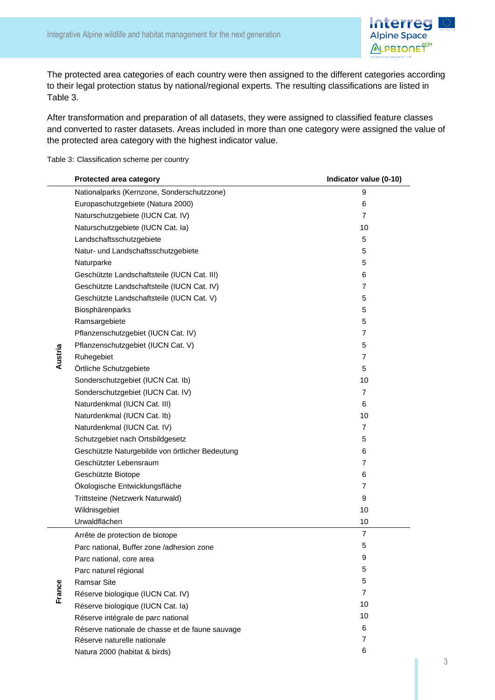

The protected area categories of each country were then assigned to the different categories according to their legal protection status by national/regional experts. The resulting classifications are listed in [Table 3.](#page-2-0)

After transformation and preparation of all datasets, they were assigned to classified feature classes and converted to raster datasets. Areas included in more than one category were assigned the value of the protected area category with the highest indicator value.

<span id="page-2-0"></span>Table 3: Classification scheme per country

|         | Protected area category                         | Indicator value (0-10) |
|---------|-------------------------------------------------|------------------------|
|         | Nationalparks (Kernzone, Sonderschutzzone)      | 9                      |
|         | Europaschutzgebiete (Natura 2000)               | 6                      |
|         | Naturschutzgebiete (IUCN Cat. IV)               | 7                      |
|         | Naturschutzgebiete (IUCN Cat. la)               | 10                     |
|         | Landschaftsschutzgebiete                        | 5                      |
|         | Natur- und Landschaftsschutzgebiete             | 5                      |
|         | Naturparke                                      | 5                      |
|         | Geschützte Landschaftsteile (IUCN Cat. III)     | 6                      |
|         | Geschützte Landschaftsteile (IUCN Cat. IV)      | 7                      |
|         | Geschützte Landschaftsteile (IUCN Cat. V)       | 5                      |
|         | Biosphärenparks                                 | 5                      |
|         | Ramsargebiete                                   | 5                      |
| Austria | Pflanzenschutzgebiet (IUCN Cat. IV)             | 7                      |
|         | Pflanzenschutzgebiet (IUCN Cat. V)              | 5                      |
|         | Ruhegebiet                                      | $\overline{7}$         |
|         | Örtliche Schutzgebiete                          | 5                      |
|         | Sonderschutzgebiet (IUCN Cat. Ib)               | 10                     |
|         | Sonderschutzgebiet (IUCN Cat. IV)               | 7                      |
|         | Naturdenkmal (IUCN Cat. III)                    | 6                      |
|         | Naturdenkmal (IUCN Cat. Ib)                     | 10                     |
|         | Naturdenkmal (IUCN Cat. IV)                     | 7                      |
|         | Schutzgebiet nach Ortsbildgesetz                | 5                      |
|         | Geschützte Naturgebilde von örtlicher Bedeutung | 6                      |
|         | Geschützter Lebensraum                          | 7                      |
|         | Geschützte Biotope                              | 6                      |
|         | Ökologische Entwicklungsfläche                  | 7                      |
|         | Trittsteine (Netzwerk Naturwald)                | 9                      |
|         | Wildnisgebiet                                   | 10                     |
|         | Urwaldflächen                                   | 10                     |
|         | Arrête de protection de biotope                 | $\overline{7}$         |
|         | Parc national, Buffer zone /adhesion zone       | 5                      |
|         | Parc national, core area                        | 9                      |
|         | Parc naturel régional                           | 5                      |
|         | <b>Ramsar Site</b>                              | 5                      |
| France  | Réserve biologique (IUCN Cat. IV)               | 7                      |
|         | Réserve biologique (IUCN Cat. la)               | 10                     |
|         | Réserve intégrale de parc national              | 10                     |
|         | Réserve nationale de chasse et de faune sauvage | 6                      |
|         | Réserve naturelle nationale                     | 7                      |
|         | Natura 2000 (habitat & birds)                   | 6                      |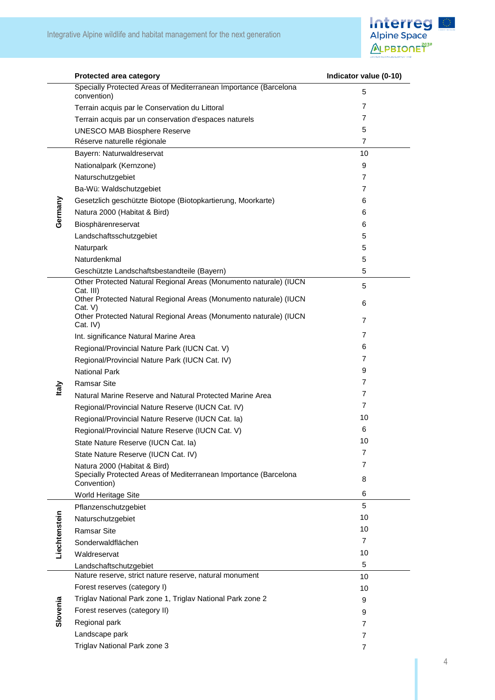

|               | Protected area category                                                         | Indicator value (0-10) |
|---------------|---------------------------------------------------------------------------------|------------------------|
|               | Specially Protected Areas of Mediterranean Importance (Barcelona<br>convention) | 5                      |
|               | Terrain acquis par le Conservation du Littoral                                  | $\overline{7}$         |
|               | Terrain acquis par un conservation d'espaces naturels                           | 7                      |
|               | <b>UNESCO MAB Biosphere Reserve</b>                                             | 5                      |
|               | Réserve naturelle régionale                                                     | $\overline{7}$         |
|               | Bayern: Naturwaldreservat                                                       | 10                     |
|               | Nationalpark (Kernzone)                                                         | 9                      |
|               | Naturschutzgebiet                                                               | 7                      |
|               | Ba-Wü: Waldschutzgebiet                                                         | 7                      |
|               | Gesetzlich geschützte Biotope (Biotopkartierung, Moorkarte)                     | 6                      |
| Germany       | Natura 2000 (Habitat & Bird)                                                    | 6                      |
|               | Biosphärenreservat                                                              | 6                      |
|               | Landschaftsschutzgebiet                                                         | 5                      |
|               | Naturpark                                                                       | 5                      |
|               | Naturdenkmal                                                                    | 5                      |
|               | Geschützte Landschaftsbestandteile (Bayern)                                     | 5                      |
|               | Other Protected Natural Regional Areas (Monumento naturale) (IUCN<br>Cat. III)  | 5                      |
|               | Other Protected Natural Regional Areas (Monumento naturale) (IUCN<br>Cat. V)    | 6                      |
|               | Other Protected Natural Regional Areas (Monumento naturale) (IUCN<br>Cat. IV)   | $\overline{7}$         |
|               | Int. significance Natural Marine Area                                           | 7                      |
|               | Regional/Provincial Nature Park (IUCN Cat. V)                                   | 6                      |
|               | Regional/Provincial Nature Park (IUCN Cat. IV)                                  | 7                      |
|               | <b>National Park</b>                                                            | 9                      |
| taly          | <b>Ramsar Site</b>                                                              | 7                      |
|               | Natural Marine Reserve and Natural Protected Marine Area                        | 7                      |
|               | Regional/Provincial Nature Reserve (IUCN Cat. IV)                               | 7                      |
|               | Regional/Provincial Nature Reserve (IUCN Cat. la)                               | 10                     |
|               | Regional/Provincial Nature Reserve (IUCN Cat. V)                                | 6                      |
|               | State Nature Reserve (IUCN Cat. la)                                             | 10                     |
|               | State Nature Reserve (IUCN Cat. IV)                                             | 7                      |
|               | Natura 2000 (Habitat & Bird)                                                    | $\overline{7}$         |
|               | Specially Protected Areas of Mediterranean Importance (Barcelona<br>Convention) | 8                      |
|               | World Heritage Site                                                             | 6                      |
|               | Pflanzenschutzgebiet                                                            | 5                      |
|               | Naturschutzgebiet                                                               | 10                     |
|               | <b>Ramsar Site</b>                                                              | 10                     |
|               | Sonderwaldflächen                                                               | 7                      |
| Liechtenstein | Waldreservat                                                                    | 10                     |
|               | Landschaftschutzgebiet                                                          | 5                      |
|               | Nature reserve, strict nature reserve, natural monument                         | 10                     |
|               | Forest reserves (category I)                                                    | 10                     |
|               | Triglav National Park zone 1, Triglav National Park zone 2                      | 9                      |
| Slovenia      | Forest reserves (category II)                                                   | 9                      |
|               | Regional park                                                                   | $\overline{7}$         |
|               | Landscape park                                                                  | 7                      |
|               | Triglav National Park zone 3                                                    | $\overline{7}$         |